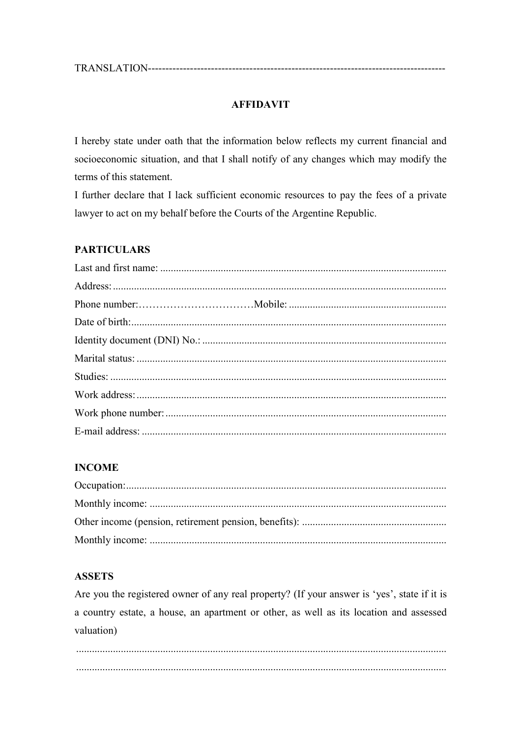### **AFFIDAVIT**

I hereby state under oath that the information below reflects my current financial and socioeconomic situation, and that I shall notify of any changes which may modify the terms of this statement.

I further declare that I lack sufficient economic resources to pay the fees of a private lawyer to act on my behalf before the Courts of the Argentine Republic.

### **PARTICULARS**

#### **INCOME**

#### **ASSETS**

Are you the registered owner of any real property? (If your answer is 'yes', state if it is a country estate, a house, an apartment or other, as well as its location and assessed valuation)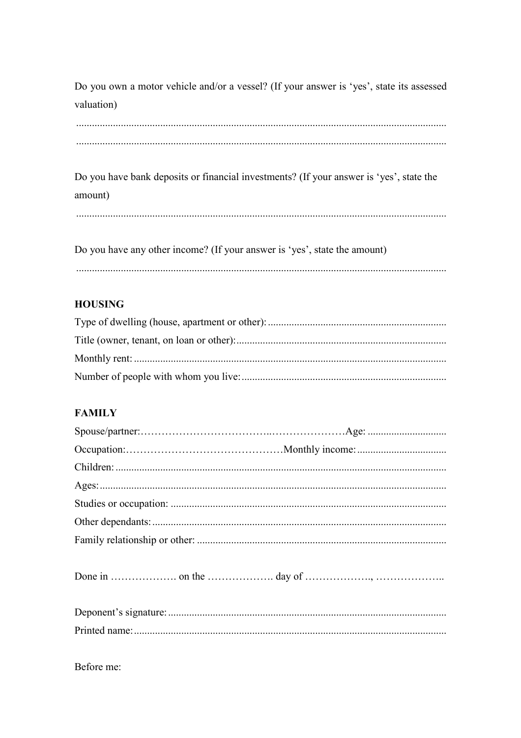Do you own a motor vehicle and/or a vessel? (If your answer is 'yes', state its assessed valuation)

Do you have bank deposits or financial investments? (If your answer is 'yes', state the amount)

Do you have any other income? (If your answer is 'yes', state the amount) 

# **HOUSING**

# **FAMILY**

Before me: